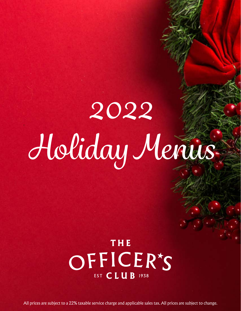# *2022 Holiday Menus*

## THE OFFICER'S EST CLUB 1938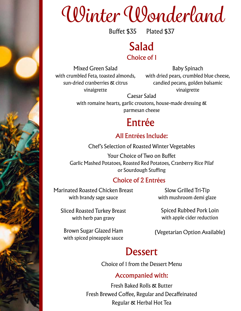## *Winter Wonderland*

Buffet \$35 Plated \$37

### Salad Choice of 1

Mixed Green Salad with crumbled Feta, toasted almonds, sun-dried cranberries & citrus vinaigrette

Baby Spinach with dried pears, crumbled blue cheese, candied pecans, golden balsamic vinaigrette

Caesar Salad

with romaine hearts, garlic croutons, house-made dressing  $\alpha$ parmesan cheese

## Entrée

#### All Entrées Include:

Chef's Selection of Roasted Winter Vegetables

Your Choice of Two on Buffet Garlic Mashed Potatoes, Roasted Red Potatoes, Cranberry Rice Pilaf or Sourdough Stuffing

#### Choice of 2 Entrées

Marinated Roasted Chicken Breast with brandy sage sauce

Slow Grilled Tri-Tip with mushroom demi glaze

Sliced Roasted Turkey Breast with herb pan gravy

Spiced Rubbed Pork Loin with apple cider reduction

Brown Sugar Glazed Ham with spiced pineapple sauce

(Vegetarian Option Available)

### **Dessert**

Choice of 1 from the Dessert Menu

#### Accompanied with:

Fresh Baked Rolls & Butter Fresh Brewed Coffee, Regular and Decaffeinated Regular & Herbal Hot Tea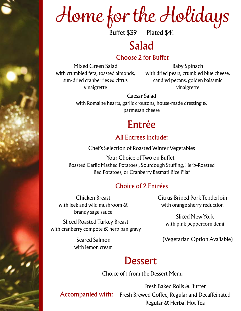## *Home for the Holidays*

Buffet \$39 Plated \$41

## Salad

#### Choose 2 for Buffet

Mixed Green Salad with crumbled feta, toasted almonds, sun-dried cranberries & citrus vinaigrette

Baby Spinach with dried pears, crumbled blue cheese, candied pecans, golden balsamic vinaigrette

Caesar Salad

with Romaine hearts, garlic croutons, house-made dressing & parmesan cheese

## Entrée

#### All Entrées Include:

Chef's Selection of Roasted Winter Vegetables

Roasted Garlic Mashed Potatoes , Sourdough Stuffing, Herb-Roasted Red Potatoes, or Cranberry Basmati Rice Pilaf Your Choice of Two on Buffet

#### Choice of 2 Entrées

Chicken Breast with leek and wild mushroom & brandy sage sauce

Sliced Roasted Turkey Breast with cranberry compote & herb pan gravy

> Seared Salmon with lemon cream

Citrus-Brined Pork Tenderloin with orange sherry reduction

> Sliced New York with pink peppercorn demi

(Vegetarian Option Available)

### **Dessert**

Choice of 1 from the Dessert Menu

**Accompanied with:** Fresh Brewed Coffee, Regular and Decaffeinated Fresh Baked Rolls & Butter Regular & Herbal Hot Tea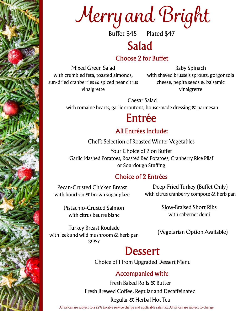

Buffet \$45 Plated \$47

### Salad

#### Choose 2 for Buffet

Mixed Green Salad with crumbled feta, toasted almonds, sun-dried cranberries & spiced pear citrus vinaigrette

Baby Spinach with shaved brussels sprouts, gorgonzola cheese, pepita seeds & balsamic vinaigrette

Caesar Salad

with romaine hearts, garlic croutons, house-made dressing & parmesan

## Entrée

#### All Entrées Include:

Chef's Selection of Roasted Winter Vegetables

Your Choice of 2 on Buffet Garlic Mashed Potatoes, Roasted Red Potatoes, Cranberry Rice Pilaf or Sourdough Stuffing

#### Choice of 2 Entrées

Pecan-Crusted Chicken Breast with bourbon & brown sugar glaze

Deep-Fried Turkey (Buffet Only) with citrus cranberry compote & herb pan

Pistachio-Crusted Salmon with citrus beurre blanc

Slow-Braised Short Ribs with cabernet demi

Turkey Breast Roulade with leek and wild mushroom & herb pan gravy

(Vegetarian Option Available)

## **Dessert**

Choice of 1 from Upgraded Dessert Menu

#### Accompanied with:

Fresh Baked Rolls & Butter Fresh Brewed Coffee, Regular and Decaffeinated Regular & Herbal Hot Tea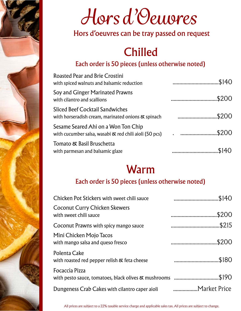

## *Hors d'Oeuvres*

#### Hors d'oeuvres can be tray passed on request

## Chilled

#### Each order is 50 pieces (unless otherwise noted)

| Roasted Pear and Brie Crostini                     | \$140. |
|----------------------------------------------------|--------|
| with spiced walnuts and balsamic reduction         |        |
| Soy and Ginger Marinated Prawns                    | \$200. |
| with cilantro and scallions                        |        |
| Sliced Beef Cocktail Sandwiches                    | \$200. |
| with horseradish cream, marinated onions & spinach |        |
| Sesame Seared Ahi on a Won Ton Chip                | \$200. |
| Tomato & Basil Bruschetta                          | .\$140 |
| with parmesan and balsamic glaze                   |        |

## Warm

#### Each order is 50 pieces (unless otherwise noted)

| Chicken Pot Stickers with sweet chili sauce                    | \$140.<br> |
|----------------------------------------------------------------|------------|
| <b>Coconut Curry Chicken Skewers</b><br>with sweet chili sauce | .\$200     |
| Coconut Prawns with spicy mango sauce                          | \$215      |
| Mini Chicken Mojo Tacos<br>with mango salsa and queso fresco   | \$200.<br> |
| Polenta Cake<br>with roasted red pepper relish & feta cheese   | .\$180     |
| Focaccia Pizza                                                 | \$190.     |
| Dungeness Crab Cakes with cilantro caper aioli                 |            |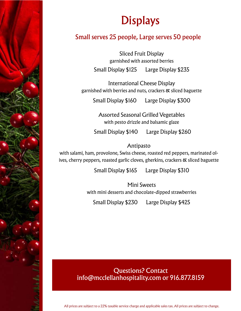## **Displays**

#### Small serves 25 people, Large serves 50 people

Sliced Fruit Display garnished with assorted berries Small Display \$125 Large Display \$235

International Cheese Display garnished with berries and nuts, crackers & sliced baguette

Small Display \$160 Large Display \$300

Assorted Seasonal Grilled Vegetables with pesto drizzle and balsamic glaze

Small Display \$140 Large Display \$260

#### Antipasto

with salami, ham, provolone, Swiss cheese, roasted red peppers, marinated olives, cherry peppers, roasted garlic cloves, gherkins, crackers & sliced baguette

Small Display \$165 Large Display \$310

Mini Sweets with mini desserts and chocolate-dipped strawberries

Small Display \$230 Large Display \$425

#### Questions? Contact info@mcclellanhospitality.com or 916.877.8159

Modala A. T